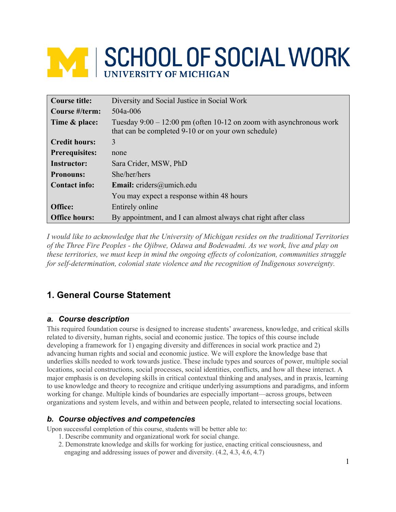# **NATI SCHOOL OF SOCIAL WORK**

| <b>Course title:</b>  | Diversity and Social Justice in Social Work                                                                                  |
|-----------------------|------------------------------------------------------------------------------------------------------------------------------|
| Course #/term:        | $504a - 006$                                                                                                                 |
| Time & place:         | Tuesday $9:00 - 12:00$ pm (often 10-12 on zoom with asynchronous work<br>that can be completed 9-10 or on your own schedule) |
| <b>Credit hours:</b>  | 3                                                                                                                            |
| <b>Prerequisites:</b> | none                                                                                                                         |
| <b>Instructor:</b>    | Sara Crider, MSW, PhD                                                                                                        |
| <b>Pronouns:</b>      | She/her/hers                                                                                                                 |
| <b>Contact info:</b>  | <b>Email:</b> criders@umich.edu                                                                                              |
|                       | You may expect a response within 48 hours                                                                                    |
| Office:               | Entirely online                                                                                                              |
| <b>Office hours:</b>  | By appointment, and I can almost always chat right after class                                                               |

*I would like to acknowledge that the University of Michigan resides on the traditional Territories of the Three Fire Peoples - the Ojibwe, Odawa and Bodewadmi. As we work, live and play on these territories, we must keep in mind the ongoing effects of colonization, communities struggle for self-determination, colonial state violence and the recognition of Indigenous sovereignty.*

# **1. General Course Statement**

# *a. Course description*

This required foundation course is designed to increase students' awareness, knowledge, and critical skills related to diversity, human rights, social and economic justice. The topics of this course include developing a framework for 1) engaging diversity and differences in social work practice and 2) advancing human rights and social and economic justice. We will explore the knowledge base that underlies skills needed to work towards justice. These include types and sources of power, multiple social locations, social constructions, social processes, social identities, conflicts, and how all these interact. A major emphasis is on developing skills in critical contextual thinking and analyses, and in praxis, learning to use knowledge and theory to recognize and critique underlying assumptions and paradigms, and inform working for change. Multiple kinds of boundaries are especially important—across groups, between organizations and system levels, and within and between people, related to intersecting social locations.

# *b. Course objectives and competencies*

Upon successful completion of this course, students will be better able to:

- 1. Describe community and organizational work for social change.
- 2. Demonstrate knowledge and skills for working for justice, enacting critical consciousness, and engaging and addressing issues of power and diversity. (4.2, 4.3, 4.6, 4.7)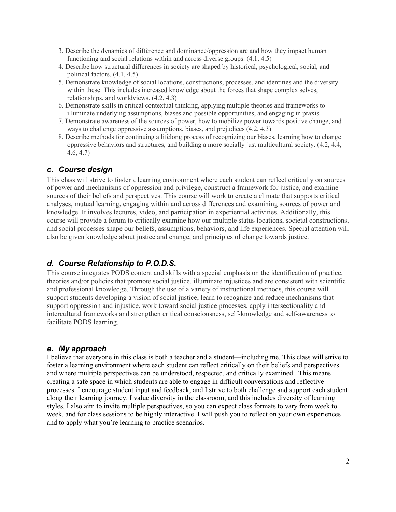- 3. Describe the dynamics of difference and dominance/oppression are and how they impact human functioning and social relations within and across diverse groups. (4.1, 4.5)
- 4. Describe how structural differences in society are shaped by historical, psychological, social, and political factors. (4.1, 4.5)
- 5. Demonstrate knowledge of social locations, constructions, processes, and identities and the diversity within these. This includes increased knowledge about the forces that shape complex selves, relationships, and worldviews. (4.2, 4.3)
- 6. Demonstrate skills in critical contextual thinking, applying multiple theories and frameworks to illuminate underlying assumptions, biases and possible opportunities, and engaging in praxis.
- 7. Demonstrate awareness of the sources of power, how to mobilize power towards positive change, and ways to challenge oppressive assumptions, biases, and prejudices (4.2, 4.3)
- 8. Describe methods for continuing a lifelong process of recognizing our biases, learning how to change oppressive behaviors and structures, and building a more socially just multicultural society. (4.2, 4.4, 4.6, 4.7)

# *c. Course design*

This class will strive to foster a learning environment where each student can reflect critically on sources of power and mechanisms of oppression and privilege, construct a framework for justice, and examine sources of their beliefs and perspectives. This course will work to create a climate that supports critical analyses, mutual learning, engaging within and across differences and examining sources of power and knowledge. It involves lectures, video, and participation in experiential activities. Additionally, this course will provide a forum to critically examine how our multiple status locations, societal constructions, and social processes shape our beliefs, assumptions, behaviors, and life experiences. Special attention will also be given knowledge about justice and change, and principles of change towards justice.

# *d. Course Relationship to P.O.D.S.*

This course integrates PODS content and skills with a special emphasis on the identification of practice, theories and/or policies that promote social justice, illuminate injustices and are consistent with scientific and professional knowledge. Through the use of a variety of instructional methods, this course will support students developing a vision of social justice, learn to recognize and reduce mechanisms that support oppression and injustice, work toward social justice processes, apply intersectionality and intercultural frameworks and strengthen critical consciousness, self-knowledge and self-awareness to facilitate PODS learning.

## *e. My approach*

I believe that everyone in this class is both a teacher and a student—including me. This class will strive to foster a learning environment where each student can reflect critically on their beliefs and perspectives and where multiple perspectives can be understood, respected, and critically examined. This means creating a safe space in which students are able to engage in difficult conversations and reflective processes. I encourage student input and feedback, and I strive to both challenge and support each student along their learning journey. I value diversity in the classroom, and this includes diversity of learning styles. I also aim to invite multiple perspectives, so you can expect class formats to vary from week to week, and for class sessions to be highly interactive. I will push you to reflect on your own experiences and to apply what you're learning to practice scenarios.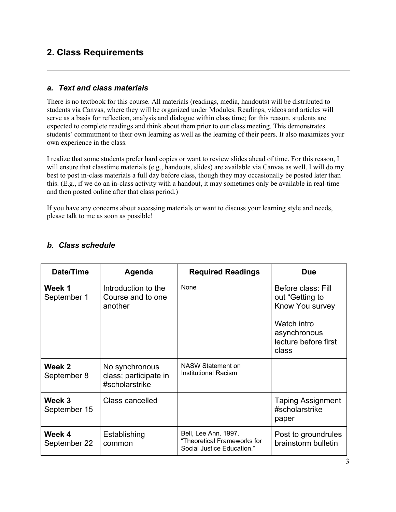# **2. Class Requirements**

# *a. Text and class materials*

There is no textbook for this course. All materials (readings, media, handouts) will be distributed to students via Canvas, where they will be organized under Modules. Readings, videos and articles will serve as a basis for reflection, analysis and dialogue within class time; for this reason, students are expected to complete readings and think about them prior to our class meeting. This demonstrates students' commitment to their own learning as well as the learning of their peers. It also maximizes your own experience in the class.

I realize that some students prefer hard copies or want to review slides ahead of time. For this reason, I will ensure that classtime materials (e.g., handouts, slides) are available via Canvas as well. I will do my best to post in-class materials a full day before class, though they may occasionally be posted later than this. (E.g., if we do an in-class activity with a handout, it may sometimes only be available in real-time and then posted online after that class period.)

If you have any concerns about accessing materials or want to discuss your learning style and needs, please talk to me as soon as possible!

| Date/Time              | Agenda                                                    | <b>Required Readings</b>                                                          | <b>Due</b>                                                                                                               |
|------------------------|-----------------------------------------------------------|-----------------------------------------------------------------------------------|--------------------------------------------------------------------------------------------------------------------------|
| Week 1<br>September 1  | Introduction to the<br>Course and to one<br>another       | <b>None</b>                                                                       | Before class: Fill<br>out "Getting to<br>Know You survey<br>Watch intro<br>asynchronous<br>lecture before first<br>class |
| Week 2<br>September 8  | No synchronous<br>class; participate in<br>#scholarstrike | <b>NASW Statement on</b><br>Institutional Racism                                  |                                                                                                                          |
| Week 3<br>September 15 | Class cancelled                                           |                                                                                   | <b>Taping Assignment</b><br>#scholarstrike<br>paper                                                                      |
| Week 4<br>September 22 | Establishing<br>common                                    | Bell, Lee Ann. 1997.<br>"Theoretical Frameworks for<br>Social Justice Education." | Post to groundrules<br>brainstorm bulletin                                                                               |

# *b. Class schedule*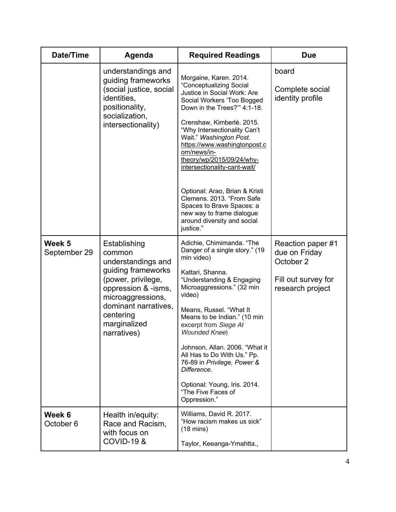| Date/Time                      | Agenda                                                                                                                                                                                                   | <b>Required Readings</b>                                                                                                                                                                                                                                                                                                                                                                                                                                                                                               | <b>Due</b>                                                                                 |
|--------------------------------|----------------------------------------------------------------------------------------------------------------------------------------------------------------------------------------------------------|------------------------------------------------------------------------------------------------------------------------------------------------------------------------------------------------------------------------------------------------------------------------------------------------------------------------------------------------------------------------------------------------------------------------------------------------------------------------------------------------------------------------|--------------------------------------------------------------------------------------------|
|                                | understandings and<br>guiding frameworks<br>(social justice, social<br>identities,<br>positionality,<br>socialization,<br>intersectionality)                                                             | Morgaine, Karen. 2014.<br>"Conceptualizing Social<br>Justice in Social Work: Are<br>Social Workers 'Too Bogged<br>Down in the Trees?" 4:1-18.<br>Crenshaw, Kimberlé. 2015.<br>"Why Intersectionality Can't<br>Wait." Washington Post.<br>https://www.washingtonpost.c<br>om/news/in-<br>theory/wp/2015/09/24/why-<br>intersectionality-cant-wait/<br>Optional: Arao, Brian & Kristi<br>Clemens. 2013. "From Safe<br>Spaces to Brave Spaces: a<br>new way to frame dialogue<br>around diversity and social<br>justice." | board<br>Complete social<br>identity profile                                               |
| Week 5<br>September 29         | Establishing<br>common<br>understandings and<br>guiding frameworks<br>(power, privilege,<br>oppression & -isms,<br>microaggressions,<br>dominant narratives,<br>centering<br>marginalized<br>narratives) | Adichie, Chimimanda. "The<br>Danger of a single story." (19<br>min video)<br>Kattari, Shanna.<br>"Understanding & Engaging<br>Microaggressions." (32 min<br>video)<br>Means, Russel. "What It<br>Means to be Indian." (10 min<br>excerpt from Siege At<br><b>Wounded Knee)</b><br>Johnson, Allan. 2006. "What it<br>All Has to Do With Us." Pp.<br>76-89 in Privilege, Power &<br>Difference.<br>Optional: Young, Iris. 2014.<br>"The Five Faces of<br>Oppression."                                                    | Reaction paper #1<br>due on Friday<br>October 2<br>Fill out survey for<br>research project |
| Week 6<br>October <sub>6</sub> | Health in/equity:<br>Race and Racism,<br>with focus on<br><b>COVID-19 &amp;</b>                                                                                                                          | Williams, David R. 2017.<br>"How racism makes us sick"<br>$(18 \text{ mins})$<br>Taylor, Keeanga-Ymahtta.,                                                                                                                                                                                                                                                                                                                                                                                                             |                                                                                            |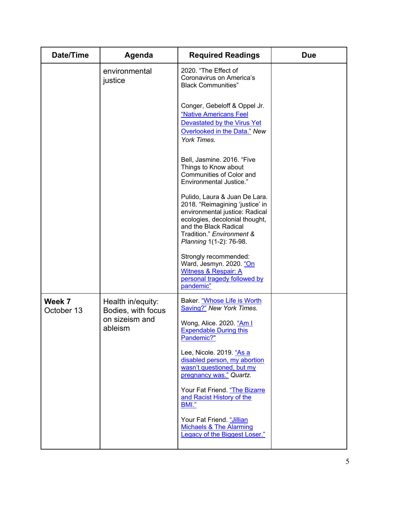| <b>Date/Time</b>     | Agenda                                                               | <b>Required Readings</b>                                                                                                                                                                                              | <b>Due</b> |
|----------------------|----------------------------------------------------------------------|-----------------------------------------------------------------------------------------------------------------------------------------------------------------------------------------------------------------------|------------|
|                      | environmental<br>justice                                             | 2020. "The Effect of<br>Coronavirus on America's<br><b>Black Communities"</b>                                                                                                                                         |            |
|                      |                                                                      | Conger, Gebeloff & Oppel Jr.<br>"Native Americans Feel<br>Devastated by the Virus Yet<br>Overlooked in the Data." New<br>York Times.                                                                                  |            |
|                      |                                                                      | Bell, Jasmine. 2016. "Five<br>Things to Know about<br>Communities of Color and<br><b>Environmental Justice."</b>                                                                                                      |            |
|                      |                                                                      | Pulido, Laura & Juan De Lara.<br>2018. "Reimagining 'justice' in<br>environmental justice: Radical<br>ecologies, decolonial thought,<br>and the Black Radical<br>Tradition." Environment &<br>Planning 1(1-2): 76-98. |            |
|                      |                                                                      | Strongly recommended:<br>Ward, Jesmyn. 2020. "On<br><b>Witness &amp; Respair: A</b><br>personal tragedy followed by<br>pandemic"                                                                                      |            |
| Week 7<br>October 13 | Health in/equity:<br>Bodies, with focus<br>on sizeism and<br>ableism | Baker. "Whose Life is Worth<br><b>Saving?"</b> New York Times.<br>Wong, Alice. 2020. "Am I<br><b>Expendable During this</b>                                                                                           |            |
|                      |                                                                      | Pandemic?"<br>Lee, Nicole. 2019. "As a<br>disabled person, my abortion<br>wasn't questioned, but my<br>pregnancy was." Quartz.                                                                                        |            |
|                      |                                                                      | Your Fat Friend. "The Bizarre<br>and Racist History of the<br>BMI."                                                                                                                                                   |            |
|                      |                                                                      | Your Fat Friend. "Jillian<br><b>Michaels &amp; The Alarming</b><br><b>Legacy of the Biggest Loser."</b>                                                                                                               |            |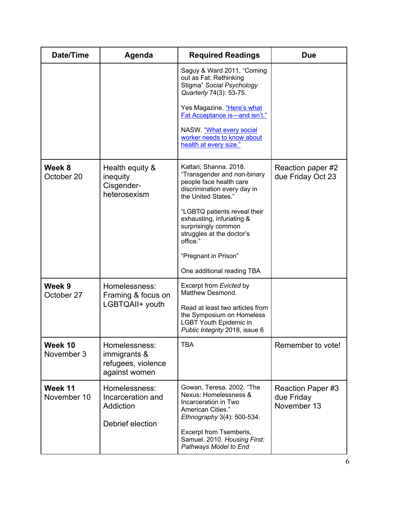| Date/Time              | Agenda                                                               | <b>Required Readings</b>                                                                                                               | <b>Due</b>                                     |
|------------------------|----------------------------------------------------------------------|----------------------------------------------------------------------------------------------------------------------------------------|------------------------------------------------|
|                        |                                                                      | Saguy & Ward 2011. "Coming<br>out as Fat: Rethinking<br>Stigma" Social Psychology<br>Quarterly 74(3): 53-75.                           |                                                |
|                        |                                                                      | Yes Magazine. "Here's what<br>Fat Acceptance is-and isn't."                                                                            |                                                |
|                        |                                                                      | NASW. "What every social<br>worker needs to know about<br>health at every size."                                                       |                                                |
| Week 8<br>October 20   | Health equity &<br>inequity<br>Cisgender-<br>heterosexism            | Kattari, Shanna. 2018.<br>"Transgender and non-binary<br>people face health care<br>discrimination every day in<br>the United States." | Reaction paper #2<br>due Friday Oct 23         |
|                        |                                                                      | "LGBTQ patients reveal their<br>exhausting, infuriating &<br>surprisingly common<br>struggles at the doctor's<br>office."              |                                                |
|                        |                                                                      | "Pregnant in Prison"                                                                                                                   |                                                |
|                        |                                                                      | One additional reading TBA                                                                                                             |                                                |
| Week 9<br>October 27   | Homelessness:<br>Framing & focus on                                  | Excerpt from Evicted by<br>Matthew Desmond.                                                                                            |                                                |
|                        | LGBTQAII+ youth                                                      | Read at least two articles from<br>the Symposium on Homeless<br><b>LGBT Youth Epidemic in</b><br>Public Integrity 2018, issue 6        |                                                |
| Week 10<br>November 3  | Homelessness:<br>immigrants &<br>refugees, violence<br>against women | <b>TBA</b>                                                                                                                             | Remember to vote!                              |
| Week 11<br>November 10 | Homelessness:<br>Incarceration and<br>Addiction                      | Gowan, Teresa. 2002. "The<br>Nexus: Homelessness &<br>Incarceration in Two<br>American Cities."<br>Ethnography 3(4): 500-534.          | Reaction Paper #3<br>due Friday<br>November 13 |
| Debrief election       |                                                                      | Excerpt from Tsemberis,<br>Samuel. 2010. Housing First:<br>Pathways Model to End                                                       |                                                |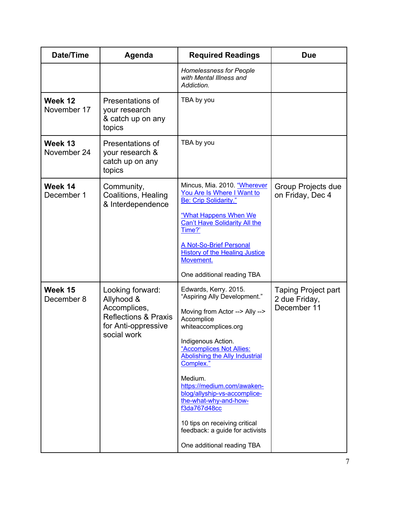| <b>Date/Time</b>       | Agenda                                                                | <b>Required Readings</b>                                                                                       | <b>Due</b>                                                 |
|------------------------|-----------------------------------------------------------------------|----------------------------------------------------------------------------------------------------------------|------------------------------------------------------------|
|                        |                                                                       | <b>Homelessness for People</b><br>with Mental Illness and<br>Addiction.                                        |                                                            |
| Week 12<br>November 17 | Presentations of<br>your research<br>& catch up on any<br>topics      | TBA by you                                                                                                     |                                                            |
| Week 13<br>November 24 | Presentations of<br>your research &<br>catch up on any<br>topics      | TBA by you                                                                                                     |                                                            |
| Week 14<br>December 1  | Community,<br>Coalitions, Healing<br>& Interdependence                | Mincus, Mia. 2010. "Wherever<br>You Are Is Where I Want to<br><b>Be: Crip Solidarity."</b>                     | Group Projects due<br>on Friday, Dec 4                     |
|                        |                                                                       | "What Happens When We<br><b>Can't Have Solidarity All the</b><br>Time?'                                        |                                                            |
|                        |                                                                       | A Not-So-Brief Personal<br><b>History of the Healing Justice</b><br>Movement.                                  |                                                            |
|                        |                                                                       | One additional reading TBA                                                                                     |                                                            |
| Week 15<br>December 8  | Looking forward:<br>Allyhood &<br>Accomplices,                        | Edwards, Kerry. 2015.<br>"Aspiring Ally Development."<br>Moving from Actor --> Ally -->                        | <b>Taping Project part</b><br>2 due Friday,<br>December 11 |
|                        | <b>Reflections &amp; Praxis</b><br>for Anti-oppressive<br>social work | Accomplice<br>whiteaccomplices.org                                                                             |                                                            |
|                        |                                                                       | Indigenous Action.<br>"Accomplices Not Allies:<br><b>Abolishing the Ally Industrial</b><br>Complex."           |                                                            |
|                        |                                                                       | Medium.<br>https://medium.com/awaken-<br>blog/allyship-vs-accomplice-<br>the-what-why-and-how-<br>f3da767d48cc |                                                            |
|                        |                                                                       | 10 tips on receiving critical<br>feedback: a guide for activists                                               |                                                            |
|                        |                                                                       | One additional reading TBA                                                                                     |                                                            |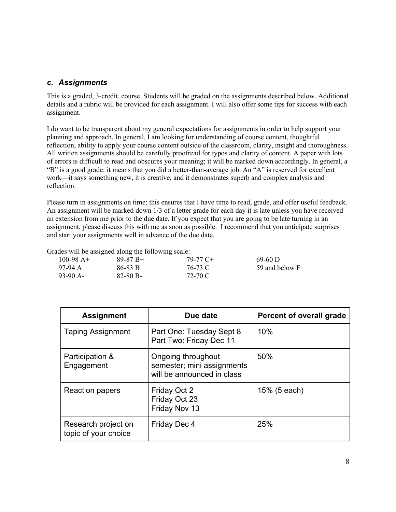## *c. Assignments*

This is a graded, 3-credit, course. Students will be graded on the assignments described below. Additional details and a rubric will be provided for each assignment. I will also offer some tips for success with each assignment.

I do want to be transparent about my general expectations for assignments in order to help support your planning and approach. In general, I am looking for understanding of course content, thoughtful reflection, ability to apply your course content outside of the classroom, clarity, insight and thoroughness. All written assignments should be carefully proofread for typos and clarity of content. A paper with lots of errors is difficult to read and obscures your meaning; it will be marked down accordingly. In general, a "B" is a good grade: it means that you did a better-than-average job. An "A" is reserved for excellent work—it says something new, it is creative, and it demonstrates superb and complex analysis and reflection.

Please turn in assignments on time; this ensures that I have time to read, grade, and offer useful feedback. An assignment will be marked down 1/3 of a letter grade for each day it is late unless you have received an extension from me prior to the due date. If you expect that you are going to be late turning in an assignment, please discuss this with me as soon as possible. I recommend that you anticipate surprises and start your assignments well in advance of the due date.

59 and below F

Grades will be assigned along the following scale:

| 100-98 $A+$ | $89-87 B+$    | 79-77 C+ | $69-60$ D |
|-------------|---------------|----------|-----------|
| 97-94 A     | 86-83 B       | 76-73 C  | 59 and b  |
| $93-90$ A-  | $82 - 80 B -$ | 72-70 C  |           |

| <b>Assignment</b>                           | Due date                                                                       | <b>Percent of overall grade</b> |
|---------------------------------------------|--------------------------------------------------------------------------------|---------------------------------|
| <b>Taping Assignment</b>                    | Part One: Tuesday Sept 8<br>Part Two: Friday Dec 11                            | 10%                             |
| Participation &<br>Engagement               | Ongoing throughout<br>semester; mini assignments<br>will be announced in class | 50%                             |
| Reaction papers                             | Friday Oct 2<br>Friday Oct 23<br>Friday Nov 13                                 | $15\%$ (5 each)                 |
| Research project on<br>topic of your choice | Friday Dec 4                                                                   | 25%                             |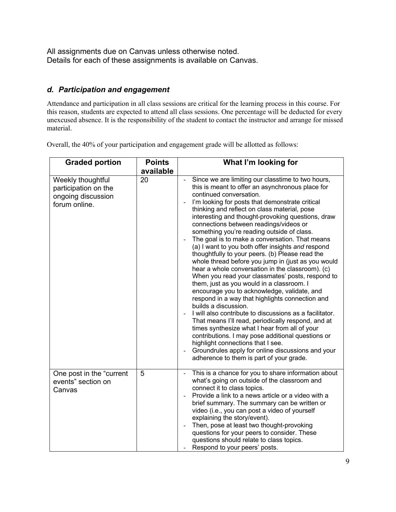All assignments due on Canvas unless otherwise noted. Details for each of these assignments is available on Canvas.

# *d. Participation and engagement*

Attendance and participation in all class sessions are critical for the learning process in this course. For this reason, students are expected to attend all class sessions. One percentage will be deducted for every unexcused absence. It is the responsibility of the student to contact the instructor and arrange for missed material.

**Graded portion Points available What I'm looking for** Weekly thoughtful participation on the ongoing discussion forum online. 20 | Since we are limiting our classtime to two hours, this is meant to offer an asynchronous place for continued conversation. - I'm looking for posts that demonstrate critical thinking and reflect on class material, pose interesting and thought-provoking questions, draw connections between readings/videos or something you're reading outside of class. - The goal is to make a conversation. That means (a) I want to you both offer insights *and* respond thoughtfully to your peers. (b) Please read the whole thread before you jump in (just as you would hear a whole conversation in the classroom). (c) When you read your classmates' posts, respond to them, just as you would in a classroom. I encourage you to acknowledge, validate, and respond in a way that highlights connection and builds a discussion. - I will also contribute to discussions as a facilitator. That means I'll read, periodically respond, and at times synthesize what I hear from all of your contributions. I may pose additional questions or highlight connections that I see. - Groundrules apply for online discussions and your adherence to them is part of your grade. One post in the "current events" section on Canvas 5 | This is a chance for you to share information about what's going on outside of the classroom and connect it to class topics. - Provide a link to a news article or a video with a brief summary. The summary can be written or video (i.e., you can post a video of yourself explaining the story/event). - Then, pose at least two thought-provoking questions for your peers to consider. These questions should relate to class topics. Respond to your peers' posts.

Overall, the 40% of your participation and engagement grade will be allotted as follows: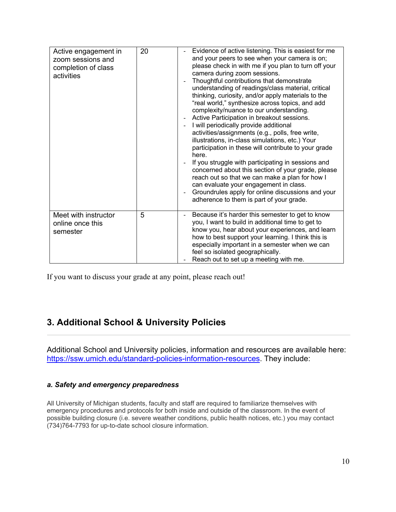| Active engagement in<br>zoom sessions and<br>completion of class<br>activities | 20 | Evidence of active listening. This is easiest for me<br>and your peers to see when your camera is on;<br>please check in with me if you plan to turn off your<br>camera during zoom sessions.<br>Thoughtful contributions that demonstrate<br>understanding of readings/class material, critical<br>thinking, curiosity, and/or apply materials to the<br>"real world," synthesize across topics, and add<br>complexity/nuance to our understanding.<br>Active Participation in breakout sessions.<br>$\overline{\phantom{a}}$<br>I will periodically provide additional<br>$\overline{\phantom{a}}$<br>activities/assignments (e.g., polls, free write,<br>illustrations, in-class simulations, etc.) Your<br>participation in these will contribute to your grade<br>here.<br>If you struggle with participating in sessions and<br>concerned about this section of your grade, please<br>reach out so that we can make a plan for how I<br>can evaluate your engagement in class.<br>Groundrules apply for online discussions and your<br>$\overline{\phantom{a}}$<br>adherence to them is part of your grade. |
|--------------------------------------------------------------------------------|----|-------------------------------------------------------------------------------------------------------------------------------------------------------------------------------------------------------------------------------------------------------------------------------------------------------------------------------------------------------------------------------------------------------------------------------------------------------------------------------------------------------------------------------------------------------------------------------------------------------------------------------------------------------------------------------------------------------------------------------------------------------------------------------------------------------------------------------------------------------------------------------------------------------------------------------------------------------------------------------------------------------------------------------------------------------------------------------------------------------------------|
| Meet with instructor<br>online once this<br>semester                           | 5  | Because it's harder this semester to get to know<br>you, I want to build in additional time to get to<br>know you, hear about your experiences, and learn<br>how to best support your learning. I think this is<br>especially important in a semester when we can<br>feel so isolated geographically.<br>Reach out to set up a meeting with me.                                                                                                                                                                                                                                                                                                                                                                                                                                                                                                                                                                                                                                                                                                                                                                   |

If you want to discuss your grade at any point, please reach out!

# **3. Additional School & University Policies**

Additional School and University policies, information and resources are available here: https://ssw.umich.edu/standard-policies-information-resources. They include:

## *a. Safety and emergency preparedness*

All University of Michigan students, faculty and staff are required to familiarize themselves with emergency procedures and protocols for both inside and outside of the classroom. In the event of possible building closure (i.e. severe weather conditions, public health notices, etc.) you may contact (734)764-7793 for up-to-date school closure information.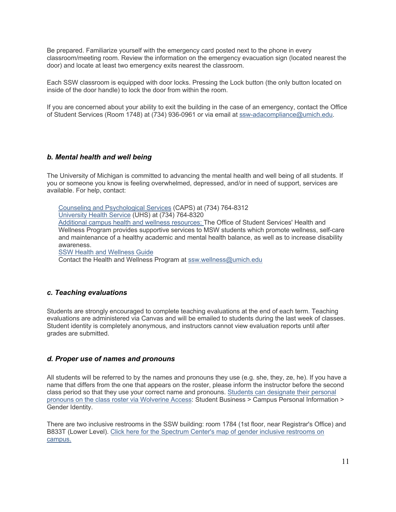Be prepared. Familiarize yourself with the emergency card posted next to the phone in every classroom/meeting room. Review the information on the emergency evacuation sign (located nearest the door) and locate at least two emergency exits nearest the classroom.

Each SSW classroom is equipped with door locks. Pressing the Lock button (the only button located on inside of the door handle) to lock the door from within the room.

If you are concerned about your ability to exit the building in the case of an emergency, contact the Office of Student Services (Room 1748) at (734) 936-0961 or via email at ssw-adacompliance@umich.edu.

### *b. Mental health and well being*

The University of Michigan is committed to advancing the mental health and well being of all students. If you or someone you know is feeling overwhelmed, depressed, and/or in need of support, services are available. For help, contact:

Counseling and Psychological Services (CAPS) at (734) 764-8312 University Health Service (UHS) at (734) 764-8320 Additional campus health and wellness resources: The Office of Student Services' Health and Wellness Program provides supportive services to MSW students which promote wellness, self-care and maintenance of a healthy academic and mental health balance, as well as to increase disability awareness. SSW Health and Wellness Guide

Contact the Health and Wellness Program at ssw.wellness@umich.edu

#### *c. Teaching evaluations*

Students are strongly encouraged to complete teaching evaluations at the end of each term. Teaching evaluations are administered via Canvas and will be emailed to students during the last week of classes. Student identity is completely anonymous, and instructors cannot view evaluation reports until after grades are submitted.

#### *d. Proper use of names and pronouns*

All students will be referred to by the names and pronouns they use (e.g. she, they, ze, he). If you have a name that differs from the one that appears on the roster, please inform the instructor before the second class period so that they use your correct name and pronouns. Students can designate their personal pronouns on the class roster via Wolverine Access: Student Business > Campus Personal Information > Gender Identity.

There are two inclusive restrooms in the SSW building: room 1784 (1st floor, near Registrar's Office) and B833T (Lower Level). Click here for the Spectrum Center's map of gender inclusive restrooms on campus.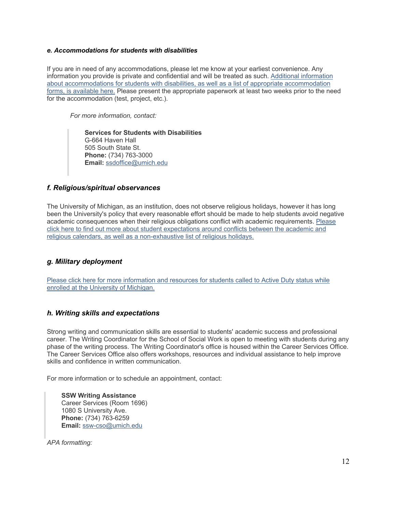#### *e. Accommodations for students with disabilities*

If you are in need of any accommodations, please let me know at your earliest convenience. Any information you provide is private and confidential and will be treated as such. Additional information about accommodations for students with disabilities, as well as a list of appropriate accommodation forms, is available here. Please present the appropriate paperwork at least two weeks prior to the need for the accommodation (test, project, etc.).

*For more information, contact:*

**Services for Students with Disabilities** G-664 Haven Hall 505 South State St. **Phone:** (734) 763-3000 **Email:** ssdoffice@umich.edu

## *f. Religious/spiritual observances*

The University of Michigan, as an institution, does not observe religious holidays, however it has long been the University's policy that every reasonable effort should be made to help students avoid negative academic consequences when their religious obligations conflict with academic requirements. Please click here to find out more about student expectations around conflicts between the academic and religious calendars, as well as a non-exhaustive list of religious holidays.

## *g. Military deployment*

Please click here for more information and resources for students called to Active Duty status while enrolled at the University of Michigan.

## *h. Writing skills and expectations*

Strong writing and communication skills are essential to students' academic success and professional career. The Writing Coordinator for the School of Social Work is open to meeting with students during any phase of the writing process. The Writing Coordinator's office is housed within the Career Services Office. The Career Services Office also offers workshops, resources and individual assistance to help improve skills and confidence in written communication.

For more information or to schedule an appointment, contact:

**SSW Writing Assistance** Career Services (Room 1696) 1080 S University Ave. **Phone:** (734) 763-6259 **Email:** ssw-cso@umich.edu

*APA formatting:*